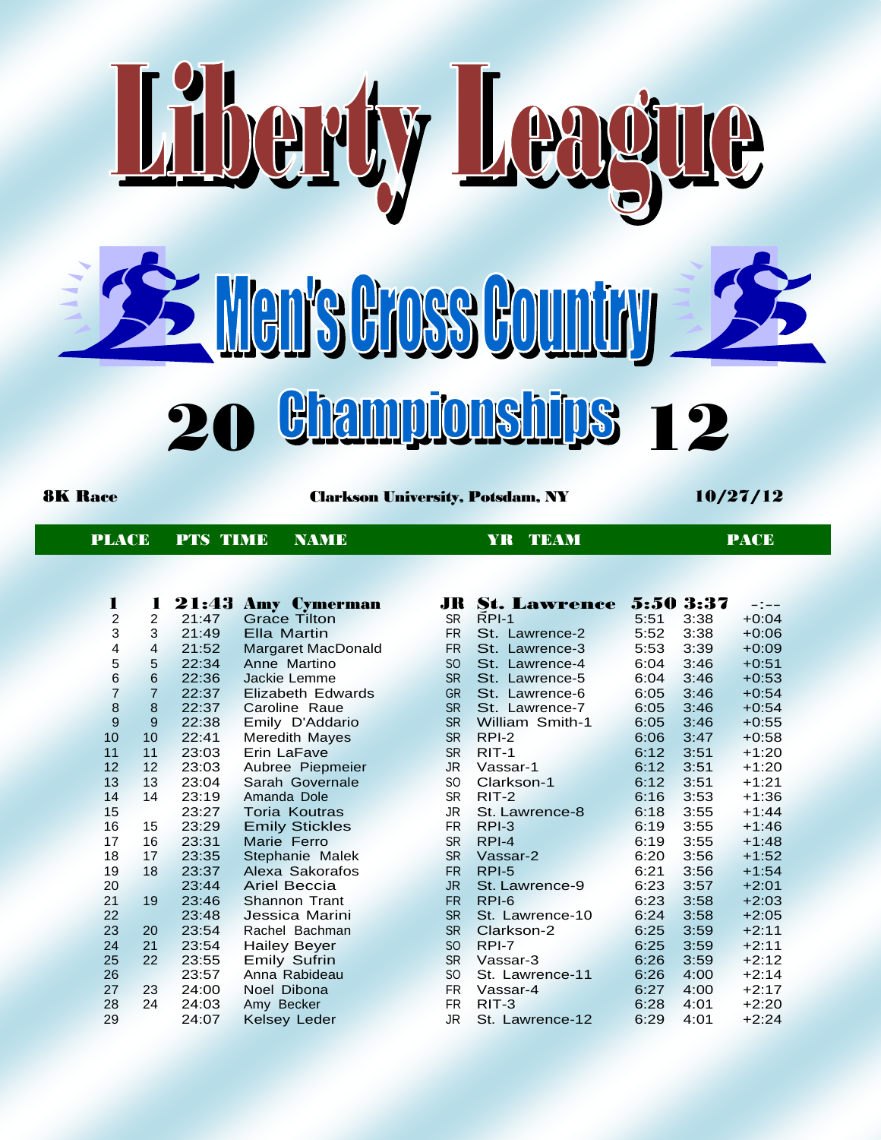

PT

8K Race Clarkson University, Potsdam, NY 10/27/12

PLACE PTS TIME NAME YR TEAM YR TEAM PACE

| 1              | 1              | 21:43 | <b>Amy Cymerman</b>   | JR              | St. Lawrence    | 5:50 3:37 |      | $-1$ $-$ |
|----------------|----------------|-------|-----------------------|-----------------|-----------------|-----------|------|----------|
| $\overline{c}$ | 2              | 21:47 | <b>Grace Tilton</b>   | <b>SR</b>       | $RPI-1$         | 5:51      | 3:38 | $+0:04$  |
| 3              | 3              | 21:49 | Ella Martin           | <b>FR</b>       | St. Lawrence-2  | 5:52      | 3:38 | $+0:06$  |
| 4              | 4              | 21:52 | Margaret MacDonald    | <b>FR</b>       | St. Lawrence-3  | 5:53      | 3:39 | $+0:09$  |
| 5              | 5              | 22:34 | Anne Martino          | SO <sub>1</sub> | St. Lawrence-4  | 6:04      | 3:46 | $+0:51$  |
| 6              | 6              | 22:36 | Jackie Lemme          | <b>SR</b>       | St. Lawrence-5  | 6:04      | 3:46 | $+0:53$  |
| $\overline{7}$ | $\overline{7}$ | 22:37 | Elizabeth Edwards     | <b>GR</b>       | St. Lawrence-6  | 6:05      | 3:46 | $+0:54$  |
| $\bf{8}$       | 8              | 22:37 | Caroline Raue         | <b>SR</b>       | St. Lawrence-7  | 6:05      | 3:46 | $+0:54$  |
| 9              | 9              | 22:38 | Emily D'Addario       | <b>SR</b>       | William Smith-1 | 6:05      | 3:46 | $+0:55$  |
| 10             | 10             | 22:41 | Meredith Mayes        | <b>SR</b>       | RPI-2           | 6:06      | 3:47 | $+0:58$  |
| 11             | 11             | 23:03 | Erin LaFave           | <b>SR</b>       | $RIT-1$         | 6:12      | 3:51 | $+1:20$  |
| 12             | 12             | 23:03 | Aubree Piepmeier      | JR.             | Vassar-1        | 6:12      | 3:51 | $+1:20$  |
| 13             | 13             | 23:04 | Sarah Governale       | SO.             | Clarkson-1      | 6:12      | 3:51 | $+1:21$  |
| 14             | 14             | 23:19 | Amanda Dole           | <b>SR</b>       | $RIT-2$         | 6:16      | 3:53 | $+1:36$  |
| 15             |                | 23:27 | <b>Toria Koutras</b>  | JR              | St. Lawrence-8  | 6:18      | 3:55 | $+1:44$  |
| 16             | 15             | 23:29 | <b>Emily Stickles</b> | FR.             | $RPI-3$         | 6:19      | 3:55 | $+1:46$  |
| 17             | 16             | 23:31 | Marie Ferro           | <b>SR</b>       | RPI-4           | 6:19      | 3:55 | $+1:48$  |
| 18             | 17             | 23:35 | Stephanie Malek       | <b>SR</b>       | Vassar-2        | 6:20      | 3:56 | $+1:52$  |
| 19             | 18             | 23:37 | Alexa Sakorafos       | <b>FR</b>       | RPI-5           | 6:21      | 3:56 | $+1:54$  |
| 20             |                | 23:44 | <b>Ariel Beccia</b>   | JR.             | St. Lawrence-9  | 6:23      | 3:57 | $+2:01$  |
| 21             | 19             | 23:46 | Shannon Trant         | <b>FR</b>       | RPI-6           | 6:23      | 3:58 | $+2:03$  |
| 22             |                | 23:48 | Jessica Marini        | <b>SR</b>       | St. Lawrence-10 | 6:24      | 3:58 | $+2:05$  |
| 23             | 20             | 23:54 | Rachel Bachman        | <b>SR</b>       | Clarkson-2      | 6:25      | 3:59 | $+2:11$  |
| 24             | 21             | 23:54 | <b>Hailey Beyer</b>   | SO <sub>1</sub> | RPI-7           | 6:25      | 3:59 | $+2:11$  |
| 25             | 22             | 23:55 | <b>Emily Sufrin</b>   | <b>SR</b>       | Vassar-3        | 6:26      | 3:59 | $+2:12$  |
| 26             |                | 23:57 | Anna Rabideau         | SO.             | St. Lawrence-11 | 6:26      | 4:00 | $+2:14$  |
| 27             | 23             | 24:00 | Noel Dibona           | <b>FR</b>       | Vassar-4        | 6:27      | 4:00 | $+2:17$  |
| 28             | 24             | 24:03 | Amy Becker            | FR.             | $RIT-3$         | 6:28      | 4:01 | $+2:20$  |
| 29             |                | 24:07 | <b>Kelsey Leder</b>   | JR              | St. Lawrence-12 | 6:29      | 4:01 | $+2:24$  |

| JR.       | St. Lawrence      |      | 5:50 3:37 | $-1$ $-$ |
|-----------|-------------------|------|-----------|----------|
| <b>SR</b> | RPI-1             | 5:51 | 3:38      | $+0:04$  |
| <b>FR</b> | St. Lawrence-2    | 5:52 | 3:38      | $+0:06$  |
| <b>FR</b> | St. Lawrence-3    | 5:53 | 3:39      | $+0:09$  |
| <b>SO</b> | Lawrence-4<br>St. | 6:04 | 3:46      | $+0:51$  |
| <b>SR</b> | St.<br>Lawrence-5 | 6:04 | 3:46      | $+0:53$  |
| <b>GR</b> | St. Lawrence-6    | 6:05 | 3:46      | $+0:54$  |
| <b>SR</b> | St. Lawrence-7    | 6:05 | 3:46      | $+0:54$  |
| <b>SR</b> | William Smith-1   | 6:05 | 3:46      | $+0:55$  |
| <b>SR</b> | $RPI-2$           | 6:06 | 3:47      | $+0:58$  |
| <b>SR</b> | $RIT-1$           | 6:12 | 3:51      | $+1:20$  |
| <b>JR</b> | Vassar-1          | 6:12 | 3:51      | $+1:20$  |
| SO.       | Clarkson-1        | 6:12 | 3:51      | $+1:21$  |
| <b>SR</b> | RIT-2             | 6:16 | 3:53      | $+1:36$  |
| JR        | St. Lawrence-8    | 6:18 | 3:55      | $+1:44$  |
| <b>FR</b> | $RPI-3$           | 6:19 | 3:55      | $+1:46$  |
| <b>SR</b> | RPI-4             | 6:19 | 3:55      | $+1:48$  |
| <b>SR</b> | Vassar-2          | 6:20 | 3:56      | $+1:52$  |
| <b>FR</b> | RPI-5             | 6:21 | 3:56      | $+1:54$  |
| <b>JR</b> | St. Lawrence-9    | 6:23 | 3:57      | $+2:01$  |
| <b>FR</b> | RPI-6             | 6:23 | 3:58      | $+2:03$  |
| <b>SR</b> | St. Lawrence-10   | 6:24 | 3:58      | $+2:05$  |
| <b>SR</b> | Clarkson-2        | 6:25 | 3:59      | $+2:11$  |
| <b>SO</b> | RPI-7             | 6:25 | 3:59      | $+2:11$  |
| <b>SR</b> | Vassar-3          | 6:26 | 3:59      | $+2:12$  |
| SO.       | St. Lawrence-11   | 6:26 | 4:00      | $+2:14$  |
| <b>FR</b> | Vassar-4          | 6:27 | 4:00      | +2:17    |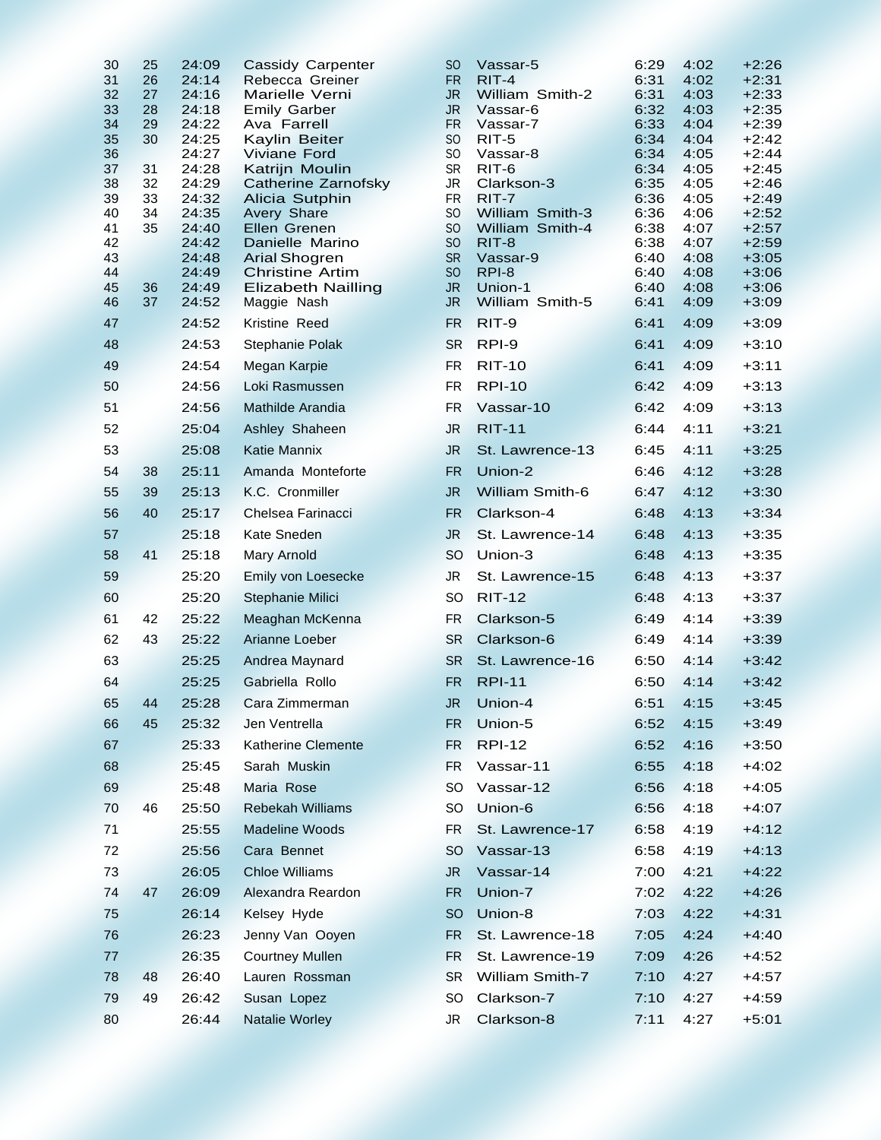| 30       | 25       | 24:09          | Cassidy Carpenter                              | <sub>SO</sub>               | Vassar-5                    | 6:29         | 4:02         | $+2:26$            |
|----------|----------|----------------|------------------------------------------------|-----------------------------|-----------------------------|--------------|--------------|--------------------|
| 31       | 26       | 24:14          | Rebecca Greiner                                | <b>FR</b>                   | $RIT-4$                     | 6:31         | 4:02         | $+2:31$            |
| 32<br>33 | 27<br>28 | 24:16<br>24:18 | Marielle Verni<br><b>Emily Garber</b>          | JR.<br><b>JR</b>            | William Smith-2<br>Vassar-6 | 6:31<br>6:32 | 4:03<br>4:03 | $+2:33$<br>$+2:35$ |
| 34       | 29       | 24:22          | Ava Farrell                                    | <b>FR</b>                   | Vassar-7                    | 6:33         | 4:04         | $+2:39$            |
| 35       | 30       | 24:25          | Kaylin Beiter                                  | <sub>SO</sub>               | $RIT-5$                     | 6:34         | 4:04         | $+2:42$            |
| 36       |          | 24:27          | <b>Viviane Ford</b>                            | S <sub>O</sub>              | Vassar-8                    | 6:34         | 4:05         | $+2:44$            |
| 37<br>38 | 31<br>32 | 24:28<br>24:29 | Katrijn Moulin                                 | <b>SR</b><br><b>JR</b>      | RIT-6<br>Clarkson-3         | 6:34<br>6:35 | 4:05<br>4:05 | $+2:45$<br>$+2:46$ |
| 39       | 33       | 24:32          | Catherine Zarnofsky<br>Alicia Sutphin          | <b>FR</b>                   | RIT-7                       | 6:36         | 4:05         | $+2:49$            |
| 40       | 34       | 24:35          | <b>Avery Share</b>                             | SO                          | William Smith-3             | 6:36         | 4:06         | $+2:52$            |
| 41       | 35       | 24:40          | Ellen Grenen                                   | S <sub>O</sub>              | William Smith-4             | 6:38         | 4:07         | $+2:57$            |
| 42       |          | 24:42          | Danielle Marino                                | S <sub>O</sub>              | RIT-8                       | 6:38         | 4:07         | $+2:59$            |
| 43<br>44 |          | 24:48<br>24:49 | <b>Arial Shogren</b><br><b>Christine Artim</b> | <b>SR</b><br>S <sub>O</sub> | Vassar-9<br>RPI-8           | 6:40<br>6:40 | 4:08<br>4:08 | $+3:05$<br>$+3:06$ |
| 45       | 36       | 24:49          | <b>Elizabeth Nailling</b>                      | <b>JR</b>                   | Union-1                     | 6:40         | 4:08         | $+3:06$            |
| 46       | 37       | 24:52          | Maggie Nash                                    | JR.                         | William Smith-5             | 6:41         | 4:09         | $+3:09$            |
| 47       |          | 24:52          | Kristine Reed                                  | <b>FR</b>                   | RIT-9                       | 6:41         | 4:09         | $+3:09$            |
| 48       |          | 24:53          | Stephanie Polak                                | <b>SR</b>                   | RPI-9                       | 6:41         | 4:09         | $+3:10$            |
| 49       |          | 24:54          | Megan Karpie                                   | <b>FR</b>                   | <b>RIT-10</b>               | 6:41         | 4:09         | $+3:11$            |
| 50       |          | 24:56          | Loki Rasmussen                                 | <b>FR</b>                   | <b>RPI-10</b>               | 6:42         | 4:09         | $+3:13$            |
| 51       |          | 24:56          | Mathilde Arandia                               | <b>FR</b>                   | Vassar-10                   | 6:42         | 4:09         | $+3:13$            |
| 52       |          | 25:04          | Ashley Shaheen<br><b>Katie Mannix</b>          | <b>JR</b>                   | <b>RIT-11</b>               | 6:44         | 4:11         | $+3:21$            |
| 53       |          | 25:08          |                                                | <b>JR</b>                   | St. Lawrence-13             | 6:45         | 4:11         | $+3:25$            |
| 54<br>55 | 38<br>39 | 25:11<br>25:13 | Amanda Monteforte<br>K.C. Cronmiller           | <b>FR</b><br><b>JR</b>      | Union-2<br>William Smith-6  | 6:46<br>6:47 | 4:12<br>4:12 | $+3:28$<br>$+3:30$ |
| 56       | 40       | 25:17          | Chelsea Farinacci                              | <b>FR</b>                   | Clarkson-4                  | 6:48         | 4:13         | $+3:34$            |
| 57       |          | 25:18          | Kate Sneden                                    | <b>JR</b>                   | St. Lawrence-14             | 6:48         | 4:13         | $+3:35$            |
| 58       | 41       | 25:18          | Mary Arnold                                    | <b>SO</b>                   | Union-3                     | 6:48         | 4:13         | $+3:35$            |
| 59       |          | 25:20          | Emily von Loesecke                             | <b>JR</b>                   | St. Lawrence-15             | 6:48         | 4:13         | $+3:37$            |
| 60       |          | 25:20          | Stephanie Milici                               | <b>SO</b>                   | <b>RIT-12</b>               | 6:48         | 4:13         | $+3:37$            |
| 61       | 42       | 25:22          | Meaghan McKenna                                | <b>FR</b>                   | Clarkson-5                  | 6:49         | 4:14         | $+3:39$            |
| 62       | 43       | 25:22          | Arianne Loeber                                 | <b>SR</b>                   | Clarkson-6                  | 6:49         | 4:14         | $+3:39$            |
| 63       |          | 25:25          | Andrea Maynard                                 | <b>SR</b>                   | St. Lawrence-16             | 6:50         | 4:14         | $+3:42$            |
| 64       |          | 25:25          | Gabriella Rollo                                | <b>FR</b>                   | <b>RPI-11</b>               | 6:50         | 4:14         | $+3:42$            |
| 65       | 44       | 25:28          | Cara Zimmerman                                 | <b>JR</b>                   | Union-4                     | 6:51         | 4:15         | $+3:45$            |
| 66       | 45       | 25:32          | Jen Ventrella                                  | <b>FR</b>                   | Union-5                     | 6:52         | 4:15         | $+3:49$            |
| 67       |          | 25:33          | <b>Katherine Clemente</b>                      | <b>FR</b>                   | <b>RPI-12</b>               | 6:52         | 4:16         | $+3:50$            |
| 68       |          | 25:45          | Sarah Muskin                                   | <b>FR</b>                   | Vassar-11                   | 6:55         | 4:18         | $+4:02$            |
| 69       |          | 25:48          | Maria Rose                                     | <b>SO</b>                   | Vassar-12                   | 6:56         | 4:18         | $+4:05$            |
| 70       | 46       | 25:50          | <b>Rebekah Williams</b>                        | SO                          | Union-6                     | 6:56         | 4:18         | $+4:07$            |
| 71       |          | 25:55          | Madeline Woods                                 | FR                          | St. Lawrence-17             | 6:58         | 4:19         | $+4:12$            |
| 72       |          | 25:56          | Cara Bennet                                    | SO <sub>1</sub>             | Vassar-13                   | 6:58         | 4:19         | $+4:13$            |
| 73       |          | 26:05          | <b>Chloe Williams</b>                          | JR.                         | Vassar-14                   | 7:00         | 4:21         | $+4:22$            |
| 74       | 47       | 26:09          | Alexandra Reardon                              | <b>FR</b>                   | Union-7                     | 7:02         | 4:22         | $+4:26$            |
| 75       |          | 26:14          | Kelsey Hyde                                    | <sub>SO</sub>               | Union-8                     | 7:03         | 4:22         | $+4:31$            |
| 76       |          | 26:23          | Jenny Van Ooyen                                | <b>FR</b>                   | St. Lawrence-18             | 7:05         | 4:24         | $+4:40$            |
| 77       |          | 26:35          | <b>Courtney Mullen</b>                         | <b>FR</b>                   | St. Lawrence-19             | 7:09         | 4:26         | $+4:52$            |
| 78       | 48       | 26:40          | Lauren Rossman                                 | <b>SR</b>                   | William Smith-7             | 7:10         | 4:27         | $+4:57$            |
| 79       | 49       | 26:42          | Susan Lopez                                    | SO.                         | Clarkson-7<br>Clarkson-8    | 7:10<br>7:11 | 4:27         | $+4:59$            |
| 80       |          | 26:44          | Natalie Worley                                 | JR                          |                             |              | 4:27         | $+5:01$            |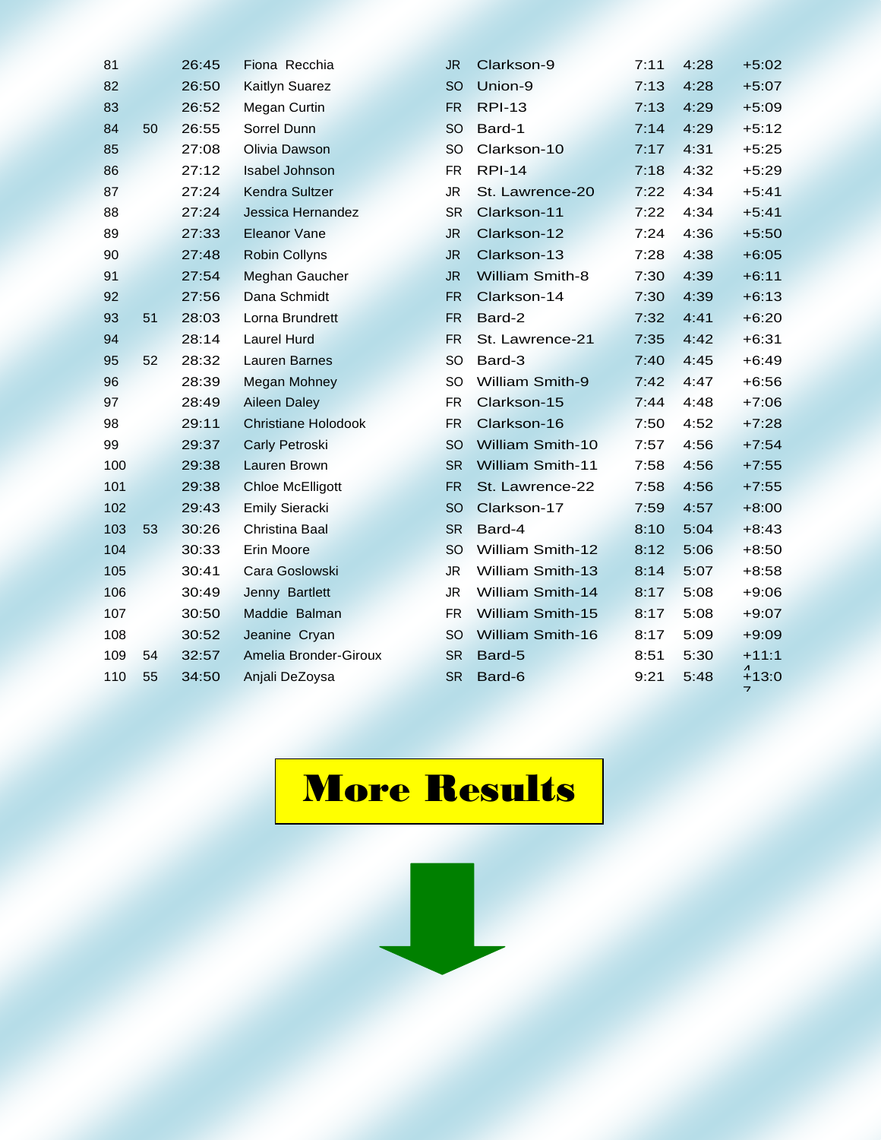| 81  |    | 26:45 | Fiona Recchia              | <b>JR</b> | Clarkson-9              | 7:11 | 4:28 | $+5:02$                  |
|-----|----|-------|----------------------------|-----------|-------------------------|------|------|--------------------------|
| 82  |    | 26:50 | Kaitlyn Suarez             | <b>SO</b> | Union-9                 | 7:13 | 4:28 | $+5:07$                  |
| 83  |    | 26:52 | Megan Curtin               | <b>FR</b> | <b>RPI-13</b>           | 7:13 | 4:29 | $+5:09$                  |
| 84  | 50 | 26:55 | Sorrel Dunn                | <b>SO</b> | Bard-1                  | 7:14 | 4:29 | $+5:12$                  |
| 85  |    | 27:08 | Olivia Dawson              | <b>SO</b> | Clarkson-10             | 7:17 | 4:31 | $+5:25$                  |
| 86  |    | 27:12 | <b>Isabel Johnson</b>      | <b>FR</b> | <b>RPI-14</b>           | 7:18 | 4:32 | $+5:29$                  |
| 87  |    | 27:24 | Kendra Sultzer             | <b>JR</b> | St. Lawrence-20         | 7:22 | 4:34 | $+5:41$                  |
| 88  |    | 27:24 | Jessica Hernandez          | <b>SR</b> | Clarkson-11             | 7:22 | 4:34 | $+5:41$                  |
| 89  |    | 27:33 | <b>Eleanor Vane</b>        | <b>JR</b> | Clarkson-12             | 7:24 | 4:36 | $+5:50$                  |
| 90  |    | 27:48 | <b>Robin Collyns</b>       | <b>JR</b> | Clarkson-13             | 7:28 | 4:38 | $+6:05$                  |
| 91  |    | 27:54 | Meghan Gaucher             | <b>JR</b> | <b>William Smith-8</b>  | 7:30 | 4:39 | $+6:11$                  |
| 92  |    | 27:56 | Dana Schmidt               | FR.       | Clarkson-14             | 7:30 | 4:39 | $+6:13$                  |
| 93  | 51 | 28:03 | Lorna Brundrett            | <b>FR</b> | Bard-2                  | 7:32 | 4:41 | $+6:20$                  |
| 94  |    | 28:14 | <b>Laurel Hurd</b>         | <b>FR</b> | St. Lawrence-21         | 7:35 | 4:42 | $+6:31$                  |
| 95  | 52 | 28:32 | <b>Lauren Barnes</b>       | <b>SO</b> | Bard-3                  | 7:40 | 4:45 | $+6:49$                  |
| 96  |    | 28:39 | Megan Mohney               | <b>SO</b> | <b>William Smith-9</b>  | 7:42 | 4:47 | $+6:56$                  |
| 97  |    | 28:49 | <b>Aileen Daley</b>        | FR        | Clarkson-15             | 7:44 | 4:48 | $+7:06$                  |
| 98  |    | 29:11 | <b>Christiane Holodook</b> | <b>FR</b> | Clarkson-16             | 7:50 | 4:52 | $+7:28$                  |
| 99  |    | 29:37 | Carly Petroski             | <b>SO</b> | <b>William Smith-10</b> | 7:57 | 4:56 | $+7:54$                  |
| 100 |    | 29:38 | Lauren Brown               | <b>SR</b> | <b>William Smith-11</b> | 7:58 | 4:56 | $+7:55$                  |
| 101 |    | 29:38 | <b>Chloe McElligott</b>    | <b>FR</b> | St. Lawrence-22         | 7:58 | 4:56 | $+7:55$                  |
| 102 |    | 29:43 | <b>Emily Sieracki</b>      | <b>SO</b> | Clarkson-17             | 7:59 | 4:57 | $+8:00$                  |
| 103 | 53 | 30:26 | Christina Baal             | <b>SR</b> | Bard-4                  | 8:10 | 5:04 | $+8:43$                  |
| 104 |    | 30:33 | Erin Moore                 | <b>SO</b> | William Smith-12        | 8:12 | 5:06 | $+8:50$                  |
| 105 |    | 30:41 | Cara Goslowski             | <b>JR</b> | <b>William Smith-13</b> | 8:14 | 5:07 | $+8:58$                  |
| 106 |    | 30:49 | Jenny Bartlett             | <b>JR</b> | <b>William Smith-14</b> | 8:17 | 5:08 | $+9:06$                  |
| 107 |    | 30:50 | Maddie Balman              | FR.       | <b>William Smith-15</b> | 8:17 | 5:08 | $+9:07$                  |
| 108 |    | 30:52 | Jeanine Cryan              | <b>SO</b> | <b>William Smith-16</b> | 8:17 | 5:09 | $+9:09$                  |
| 109 | 54 | 32:57 | Amelia Bronder-Giroux      | <b>SR</b> | Bard-5                  | 8:51 | 5:30 | $+11:1$                  |
| 110 | 55 | 34:50 | Anjali DeZoysa             | <b>SR</b> | Bard-6                  | 9:21 | 5:48 | $+13:0$                  |
|     |    |       |                            |           |                         |      |      | $\overline{\phantom{a}}$ |

## **More Results**